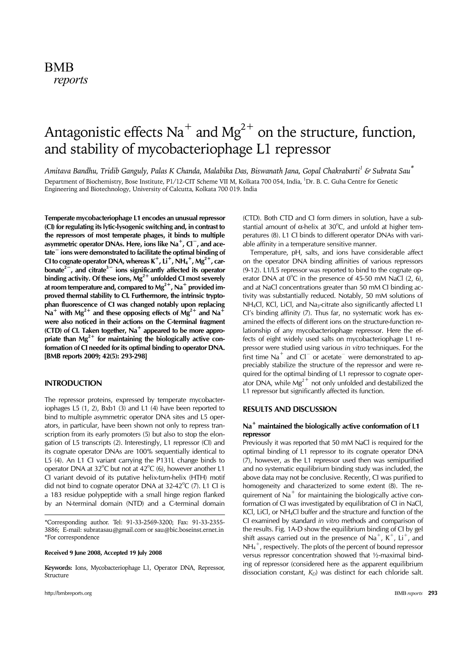# Antagonistic effects  $Na<sup>+</sup>$  and  $Mg<sup>2+</sup>$  on the structure, function, and stability of mycobacteriophage L1 repressor

*Amitava Bandhu, Tridib Ganguly, Palas K Chanda, Malabika Das, Biswanath Jana, Gopal Chakrabarti1 & Subrata Sau\** Department of Biochemistry, Bose Institute, P1/12-CIT Scheme VII M, Kolkata 700 054, India, <sup>1</sup>Dr. B. C. Guha Centre for Genetic Engineering and Biotechnology, University of Calcutta, Kolkata 700 019. India

**Temperate mycobacteriophage L1 encodes an unusual repressor (CI) for regulating its lytic-lysogenic switching and, in contrast to the repressors of most temperate phages, it binds to multiple asymmetric operator DNAs. Here, ions like Na**<sup>+</sup>**, Cl**<sup>−</sup>**, and acetate**<sup>−</sup> **ions were demonstrated to facilitate the optimal binding of CI to cognate operator DNA, whereas K**<sup>+</sup>**, Li**<sup>+</sup>**, NH4** <sup>+</sup>**, Mg2**<sup>+</sup>**, carbonate2**<sup>−</sup>**, and citrate3**<sup>−</sup> **ions significantly affected its operator**  binding activity. Of these ions,  $Mg^{2+}$  unfolded CI most severely **at room temperature and, compared to Mg2**<sup>+</sup>**, Na**<sup>+</sup> **provided improved thermal stability to CI. Furthermore, the intrinsic tryptophan fluorescence of CI was changed notably upon replacing**   $Na<sup>+</sup>$  with Mg<sup>2+</sup> and these opposing effects of Mg<sup>2+</sup> and Na<sup>+</sup> **were also noticed in their actions on the C-terminal fragment (CTD) of CI. Taken together, Na**<sup>+</sup> **appeared to be more appro**priate than Mg<sup>2+</sup> for maintaining the biologically active con**formation of CI needed for its optimal binding to operator DNA. [BMB reports 2009; 42(5): 293-298]**

## **INTRODUCTION**

The repressor proteins, expressed by temperate mycobacteriophages L5 (1, 2), Bxb1 (3) and L1 (4) have been reported to bind to multiple asymmetric operator DNA sites and L5 operators, in particular, have been shown not only to repress transcription from its early promoters (5) but also to stop the elongation of L5 transcripts (2). Interestingly, L1 repressor (CI) and its cognate operator DNAs are 100% sequentially identical to L5 (4). An L1 CI variant carrying the P131L change binds to operator DNA at  $32^{\circ}$ C but not at  $42^{\circ}$ C (6), however another L1 CI variant devoid of its putative helix-turn-helix (HTH) motif did not bind to cognate operator DNA at  $32-42^{\circ}C$  (7). L1 Cl is a 183 residue polypeptide with a small hinge region flanked by an N-terminal domain (NTD) and a C-terminal domain

\*Corresponding author. Tel: 91-33-2569-3200; Fax: 91-33-2355- 3886; E-mail: subratasau@gmail.com or sau@bic.boseinst.ernet.in \*For correspondence

**Received 9 June 2008, Accepted 19 July 2008**

**Keywords:** Ions, Mycobacteriophage L1, Operator DNA, Repressor, Structure

(CTD). Both CTD and CI form dimers in solution, have a substantial amount of  $\alpha$ -helix at 30°C, and unfold at higher temperatures (8). L1 CI binds to different operator DNAs with variable affinity in a temperature sensitive manner.

 Temperature, pH, salts, and ions have considerable affect on the operator DNA binding affinities of various repressors (9-12). L1/L5 repressor was reported to bind to the cognate operator DNA at  $0^{\circ}$ C in the presence of 45-50 mM NaCl (2, 6), and at NaCl concentrations greater than 50 mM CI binding activity was substantially reduced. Notably, 50 mM solutions of NH<sub>4</sub>Cl, KCl, LiCl, and Na<sub>3</sub>-citrate also significantly affected L1 CI's binding affinity (7). Thus far, no systematic work has examined the effects of different ions on the structure-function relationship of any mycobacteriophage repressor. Here the effects of eight widely used salts on mycobacteriophage L1 repressor were studied using various *in vitro* techniques. For the first time Na<sup>+</sup> and Cl<sup>−</sup> or acetate<sup> $-$ </sup> were demonstrated to appreciably stabilize the structure of the repressor and were required for the optimal binding of L1 repressor to cognate operator DNA, while  $Mg^{2+}$  not only unfolded and destabilized the L1 repressor but significantly affected its function.

# **RESULTS AND DISCUSSION**

## **Na**<sup>+</sup> **maintained the biologically active conformation of L1 repressor**

Previously it was reported that 50 mM NaCl is required for the optimal binding of L1 repressor to its cognate operator DNA (7), however, as the L1 repressor used then was semipurified and no systematic equilibrium binding study was included, the above data may not be conclusive. Recently, CI was purified to homogeneity and characterized to some extent (8). The requirement of  $Na<sup>+</sup>$  for maintaining the biologically active conformation of CI was investigated by equilibration of CI in NaCl, KCl, LiCl, or NH4Cl buffer and the structure and function of the CI examined by standard *in vitro* methods and comparison of the results. Fig. 1A-D show the equilibrium binding of CI by gel shift assays carried out in the presence of Na<sup>+</sup>, K<sup>+</sup>, Li<sup>+</sup>, and NH<sub>4</sub><sup>+</sup>, respectively. The plots of the percent of bound repressor versus repressor concentration showed that ½-maximal binding of repressor (considered here as the apparent equilibrium dissociation constant,  $K_D$ ) was distinct for each chloride salt.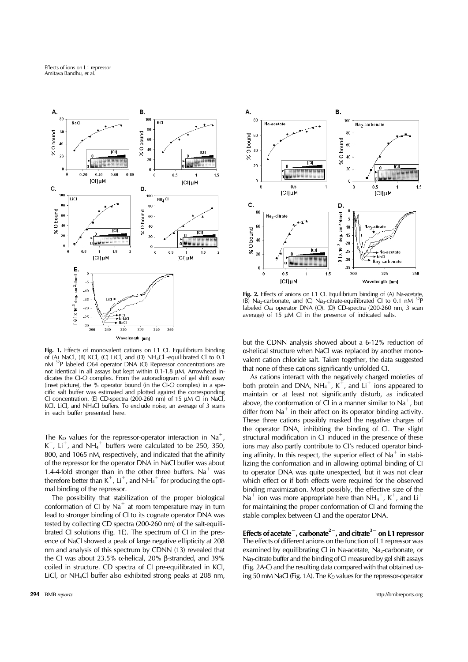

Fig. 1. Effects of monovalent cations on L1 Cl. Equilibrium binding of (A) NaCl, (B) KCl, (C) LiCl, and (D) NH<sub>4</sub>Cl -equilibrated Cl to 0.1 nM  $^{32}P$  labeled O64 operator DNA (O) Repressor concentrations are <sup>32</sup>P labeled O64 operator DNA (O) Repressor concentrations are not identical in all assays but kept within 0.1-1.8 μM. Arrowhead indicates the CI-*O* complex. From the autoradiogram of gel shift assay (inset picture), the % operator bound (in the CI-*O* complex) in a specific salt buffer was estimated and plotted against the corresponding CI concentration. (E) CD-spectra (200-260 nm) of 15 μM CI in NaCl, KCl, LiCl, and NH4Cl buffers. To exclude noise, an average of 3 scans in each buffer presented here.

The K<sub>D</sub> values for the repressor-operator interaction in Na<sup>+</sup>,  $K^+$ , Li<sup>+</sup>, and NH<sub>4</sub><sup>+</sup> buffers were calculated to be 250, 350, 800, and 1065 nM, respectively, and indicated that the affinity of the repressor for the operator DNA in NaCl buffer was about 1.4-4-fold stronger than in the other three buffers. Na<sup>+</sup> was therefore better than  $K^+$ , Li<sup>+</sup>, and NH<sub>4</sub><sup>+</sup> for producing the optimal binding of the repressor.

 The possibility that stabilization of the proper biological conformation of CI by  $\text{Na}^+$  at room temperature may in turn lead to stronger binding of CI to its cognate operator DNA was tested by collecting CD spectra (200-260 nm) of the salt-equilibrated CI solutions (Fig. 1E). The spectrum of CI in the presence of NaCl showed a peak of large negative ellipticity at 208 nm and analysis of this spectrum by CDNN (13) revealed that the CI was about 23.5% α-helical, 20% β-stranded, and 39% coiled in structure. CD spectra of CI pre-equilibrated in KCl, LiCl, or NH4Cl buffer also exhibited strong peaks at 208 nm,



**Fig. 2.** Effects of anions on L1 CI. Equilibrium binding of (A) Na-acetate, (B) Na<sub>2</sub>-carbonate, and (C) Na<sub>3</sub>-citrate-equilibrated CI to 0.1 nM  $^{32}P$ labeled *O*64 operator DNA (*O*). (D) CD-spectra (200-260 nm, 3 scan average) of 15 μM CI in the presence of indicated salts.

but the CDNN analysis showed about a 6-12% reduction of α-helical structure when NaCl was replaced by another monovalent cation chloride salt. Taken together, the data suggested that none of these cations significantly unfolded CI.

 As cations interact with the negatively charged moieties of both protein and DNA, NH<sub>4</sub><sup>+</sup>, K<sup>+</sup>, and Li<sup>+</sup> ions appeared to maintain or at least not significantly disturb, as indicated above, the conformation of CI in a manner similar to  $Na<sup>+</sup>$ , but differ from  $Na<sup>+</sup>$  in their affect on its operator binding activity. These three cations possibly masked the negative charges of the operator DNA, inhibiting the binding of CI. The slight structural modification in CI induced in the presence of these ions may also partly contribute to CI's reduced operator binding affinity. In this respect, the superior effect of  $Na<sup>+</sup>$  in stabilizing the conformation and in allowing optimal binding of CI to operator DNA was quite unexpected, but it was not clear which effect or if both effects were required for the observed binding maximization. Most possibly, the effective size of the Na<sup>+</sup> ion was more appropriate here than  $NH_4^+$ , K<sup>+</sup>, and Li<sup>+</sup> for maintaining the proper conformation of CI and forming the stable complex between CI and the operator DNA.

**Effects of acetate**<sup>−</sup>**, carbonate2**<sup>−</sup>**, and citrate3**<sup>−</sup> **on L1 repressor** The effects of different anions on the function of L1 repressor was examined by equilibrating CI in Na-acetate, Na<sub>2</sub>-carbonate, or Na<sub>3</sub>-citrate buffer and the binding of CI measured by gel shift assays (Fig. 2A-C) and the resulting data compared with that obtained using 50 mM NaCl (Fig. 1A). The  $K<sub>D</sub>$  values for the repressor-operator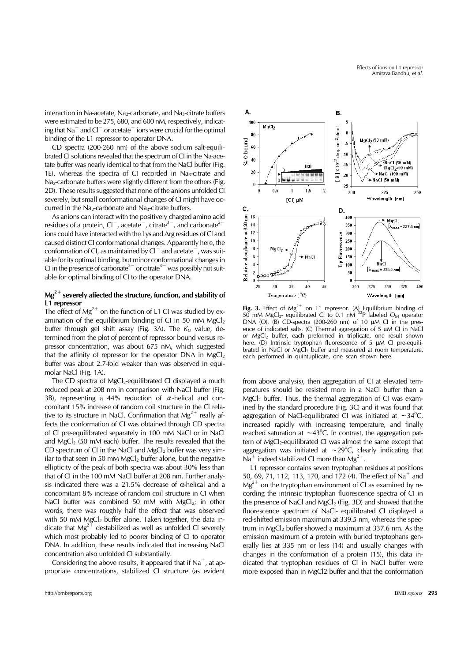interaction in Na-acetate, Na<sub>2</sub>-carbonate, and Na<sub>3</sub>-citrate buffers were estimated to be 275, 680, and 600 nM, respectively, indicating that Na<sup>+</sup> and  $Cl<sup>-</sup>$  or acetate<sup> $-$ </sup> ions were crucial for the optimal binding of the L1 repressor to operator DNA.

 CD spectra (200-260 nm) of the above sodium salt-equilibrated CI solutions revealed that the spectrum of CI in the Na-acetate buffer was nearly identical to that from the NaCl buffer (Fig. 1E), whereas the spectra of CI recorded in  $Na<sub>3</sub>-citrate$  and Na<sub>2</sub>-carbonate buffers were slightly different from the others (Fig. 2D). These results suggested that none of the anions unfolded CI severely, but small conformational changes of CI might have occurred in the Na<sub>2</sub>-carbonate and Na<sub>3</sub>-citrate buffers.

 As anions can interact with the positively charged amino acid residues of a protein,  $Cl^-$ , acetate<sup>-</sup>, citrate<sup>3–</sup>, and carbonate<sup>2</sup> ions could have interacted with the Lys and Arg residues of CI and caused distinct CI conformational changes. Apparently here, the conformation of CI, as maintained by Cl<sup>−</sup> and acetate<sup>−</sup>, was suitable for its optimal binding, but minor conformational changes in CI in the presence of carbonate<sup>2 $-$ </sup> or citrate<sup>3 $-$ </sup> was possibly not suitable for optimal binding of CI to the operator DNA.

# **Mg2**<sup>+</sup> **severely affected the structure, function, and stability of L1 repressor**

The effect of  $Mg^{2+}$  on the function of L1 Cl was studied by examination of the equilibrium binding of CI in 50 mM  $MgCl<sub>2</sub>$ buffer through gel shift assay (Fig. 3A). The  $K<sub>D</sub>$  value, determined from the plot of percent of repressor bound versus repressor concentration, was about 675 nM, which suggested that the affinity of repressor for the operator  $DNA$  in  $MgCl<sub>2</sub>$ buffer was about 2.7-fold weaker than was observed in equimolar NaCl (Fig. 1A).

The CD spectra of  $MgCl<sub>2</sub>$ -equilibrated CI displayed a much reduced peak at 208 nm in comparison with NaCl buffer (Fig. 3B), representing a 44% reduction of  $\alpha$ -helical and concomitant 15% increase of random coil structure in the CI relative to its structure in NaCl. Confirmation that  $Mg^{2+}$  really affects the conformation of CI was obtained through CD spectra of CI pre-equilibrated separately in 100 mM NaCl or in NaCl and  $MgCl<sub>2</sub>$  (50 mM each) buffer. The results revealed that the CD spectrum of CI in the NaCl and  $MgCl<sub>2</sub>$  buffer was very similar to that seen in 50 mM MgCl<sub>2</sub> buffer alone, but the negative ellipticity of the peak of both spectra was about 30% less than that of CI in the 100 mM NaCl buffer at 208 nm. Further analysis indicated there was a 21.5% decrease of α-helical and a concomitant 8% increase of random coil structure in CI when NaCl buffer was combined 50 mM with  $MgCl<sub>2</sub>$ ; in other words, there was roughly half the effect that was observed with 50 mM MgCl<sub>2</sub> buffer alone. Taken together, the data indicate that  $Mg^{2+}$  destabilized as well as unfolded CI severely which most probably led to poorer binding of CI to operator DNA. In addition, these results indicated that increasing NaCl concentration also unfolded CI substantially.

Considering the above results, it appeared that if  $Na<sup>+</sup>$ , at appropriate concentrations, stabilized CI structure (as evident



Fig. 3. Effect of  $Mg^{2+}$  on L1 repressor. (A) Equilibrium binding of 50 mM MgCl2- equilibrated CI to 0.1 nM 32P labeled *O*64 operator DNA (O). (B) CD-spectra (200-260 nm) of 10 μM CI in the presence of indicated salts. (C) Thermal aggregation of 5 μM CI in NaCl or MgCl<sub>2</sub> buffer, each preformed in triplicate, one result shown here. (D) Intrinsic tryptophan fluorescence of 5 μM CI pre-equilibrated in NaCl or MgCl<sub>2</sub> buffer and measured at room temperature, each performed in quintuplicate, one scan shown here.

from above analysis), then aggregation of CI at elevated temperatures should be resisted more in a NaCl buffer than a MgCl2 buffer. Thus, the thermal aggregation of CI was examined by the standard procedure (Fig. 3C) and it was found that aggregation of NaCl-equilibrated CI was initiated at  $\sim$  34°C, increased rapidly with increasing temperature, and finally reached saturation at  $\sim$ 43°C. In contrast, the aggregation pattern of MgCl<sub>2</sub>-equilibrated CI was almost the same except that aggregation was initiated at  $\sim$  29°C, clearly indicating that Na<sup>+</sup> indeed stabilized CI more than  $Mg^{2+}$ .

 L1 repressor contains seven tryptophan residues at positions 50, 69, 71, 112, 113, 170, and 172 (4). The effect of Na<sup>+</sup> and  $Mg^{2+}$  on the tryptophan environment of CI as examined by recording the intrinsic tryptophan fluorescence spectra of CI in the presence of NaCl and  $MgCl<sub>2</sub>$  (Fig. 3D) and showed that the fluorescence spectrum of NaCl- equilibrated CI displayed a red-shifted emission maximum at 339.5 nm, whereas the spectrum in  $MgCl<sub>2</sub>$  buffer showed a maximum at 337.6 nm. As the emission maximum of a protein with buried tryptophans generally lies at 335 nm or less (14) and usually changes with changes in the conformation of a protein (15), this data indicated that tryptophan residues of CI in NaCl buffer were more exposed than in MgCl2 buffer and that the conformation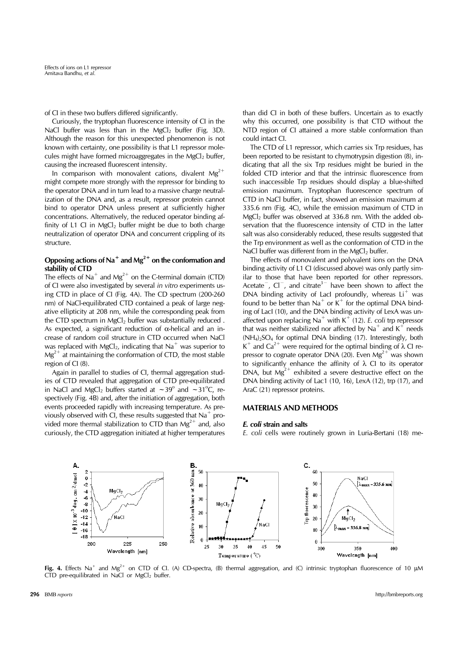of CI in these two buffers differed significantly.

 Curiously, the tryptophan fluorescence intensity of CI in the NaCl buffer was less than in the MgCl<sub>2</sub> buffer (Fig. 3D). Although the reason for this unexpected phenomenon is not known with certainty, one possibility is that L1 repressor molecules might have formed microaggregates in the  $MgCl<sub>2</sub>$  buffer, causing the increased fluorescent intensity.

In comparison with monovalent cations, divalent  $Mg^{2+}$ might compete more strongly with the repressor for binding to the operator DNA and in turn lead to a massive charge neutralization of the DNA and, as a result, repressor protein cannot bind to operator DNA unless present at sufficiently higher concentrations. Alternatively, the reduced operator binding affinity of L1 CI in MgCl<sub>2</sub> buffer might be due to both charge neutralization of operator DNA and concurrent crippling of its structure.

# **Opposing actions of Na**<sup>+</sup> **and Mg2**<sup>+</sup> **on the conformation and stability of CTD**

The effects of Na<sup>+</sup> and Mg<sup>2+</sup> on the C-terminal domain (CTD) of CI were also investigated by several *in vitro* experiments using CTD in place of CI (Fig. 4A). The CD spectrum (200-260 nm) of NaCl-equilibrated CTD contained a peak of large negative ellipticity at 208 nm, while the corresponding peak from the CTD spectrum in  $MgCl<sub>2</sub>$  buffer was substantially reduced. As expected, a significant reduction of  $\alpha$ -helical and an increase of random coil structure in CTD occurred when NaCl was replaced with MgCl<sub>2</sub>, indicating that Na<sup>+</sup> was superior to  $Mg^{2+}$  at maintaining the conformation of CTD, the most stable region of CI (8).

 Again in parallel to studies of CI, thermal aggregation studies of CTD revealed that aggregation of CTD pre-equilibrated in NaCl and MgCl<sub>2</sub> buffers started at  $\sim$ 39° and  $\sim$ 31°C, respectively (Fig. 4B) and, after the initiation of aggregation, both events proceeded rapidly with increasing temperature. As previously observed with CI, these results suggested that  $Na<sup>+</sup>$  provided more thermal stabilization to CTD than  $Mg^{2+}$  and, also curiously, the CTD aggregation initiated at higher temperatures

than did CI in both of these buffers. Uncertain as to exactly why this occurred, one possibility is that CTD without the NTD region of CI attained a more stable conformation than could intact CI.

 The CTD of L1 repressor, which carries six Trp residues, has been reported to be resistant to chymotrypsin digestion (8), indicating that all the six Trp residues might be buried in the folded CTD interior and that the intrinsic fluorescence from such inaccessible Trp residues should display a blue-shifted emission maximum. Tryptophan fluorescence spectrum of CTD in NaCl buffer, in fact, showed an emission maximum at 335.6 nm (Fig. 4C), while the emission maximum of CTD in  $MgCl<sub>2</sub>$  buffer was observed at 336.8 nm. With the added observation that the fluorescence intensity of CTD in the latter salt was also considerably reduced, these results suggested that the Trp environment as well as the conformation of CTD in the NaCl buffer was different from in the  $MgCl<sub>2</sub>$  buffer.

 The effects of monovalent and polyvalent ions on the DNA binding activity of L1 CI (discussed above) was only partly similar to those that have been reported for other repressors. Acetate<sup>-</sup>, Cl<sup>-</sup>, and citrate<sup>3−</sup> have been shown to affect the DNA binding activity of LacI profoundly, whereas  $Li<sup>+</sup>$  was found to be better than  $Na<sup>+</sup>$  or  $K<sup>+</sup>$  for the optimal DNA binding of LacI (10), and the DNA binding activity of LexA was unaffected upon replacing  $Na<sup>+</sup>$  with  $K<sup>+</sup>$  (12). *E. coli* trp repressor that was neither stabilized nor affected by  $Na<sup>+</sup>$  and  $K<sup>+</sup>$  needs  $(NH<sub>4</sub>)<sub>2</sub>SO<sub>4</sub>$  for optimal DNA binding (17). Interestingly, both K<sup>+</sup> and Ca<sup>2+</sup> were required for the optimal binding of  $\lambda$  CI repressor to cognate operator DNA (20). Even  $Mg^{2+}$  was shown to significantly enhance the affinity of λ CI to its operator DNA, but  $Mg^{2+}$  exhibited a severe destructive effect on the DNA binding activity of Lac1 (10, 16), LexA (12), trp (17), and AraC (21) repressor proteins.

## **MATERIALS AND METHODS**

#### *E. coli* **strain and salts**

*E. coli* cells were routinely grown in Luria-Bertani (18) me-



**Fig. 4.** Effects Na<sup>+</sup> and Mg<sup>2+</sup> on CTD of Cl. (A) CD-spectra, (B) thermal aggregation, and (C) intrinsic tryptophan fluorescence of 10 μM CTD pre-equilibrated in NaCl or  $MgCl<sub>2</sub>$  buffer.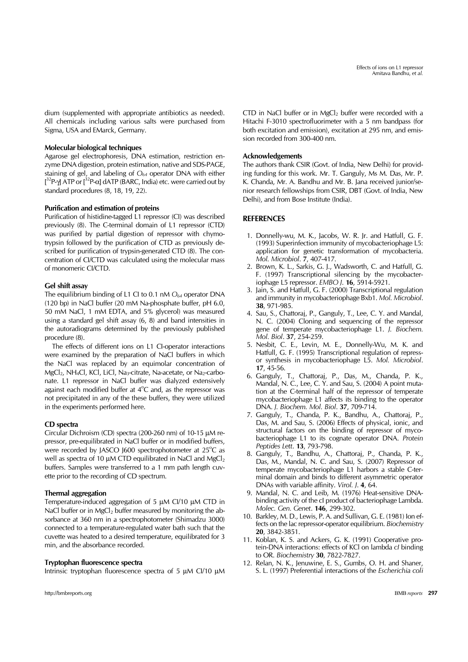dium (supplemented with appropriate antibiotics as needed). All chemicals including various salts were purchased from Sigma, USA and EMarck, Germany.

#### **Molecular biological techniques**

Agarose gel electrophoresis, DNA estimation, restriction enzyme DNA digestion, protein estimation, native and SDS-PAGE, staining of gel, and labeling of *O64* operator DNA with either  $[3^{2}P$ -γ] ATP or  $[3^{2}P$ - $\alpha]$  dATP (BARC, India) etc. were carried out by standard procedures (8, 18, 19, 22).

#### **Purification and estimation of proteins**

Purification of histidine-tagged L1 repressor (CI) was described previously (8). The C-terminal domain of L1 repressor (CTD) was purified by partial digestion of repressor with chymotrypsin followed by the purification of CTD as previously described for purification of trypsin-generated CTD (8). The concentration of CI/CTD was calculated using the molecular mass of monomeric CI/CTD.

#### **Gel shift assay**

The equilibrium binding of L1 CI to 0.1 nM  $O_{64}$  operator DNA (120 bp) in NaCl buffer (20 mM Na-phosphate buffer, pH 6.0, 50 mM NaCl, 1 mM EDTA, and 5% glycerol) was measured using a standard gel shift assay (6, 8) and band intensities in the autoradiograms determined by the previously published procedure (8).

 The effects of different ions on L1 CI-operator interactions were examined by the preparation of NaCl buffers in which the NaCl was replaced by an equimolar concentration of  $MgCl<sub>2</sub>$ , NH<sub>4</sub>Cl, KCl, LiCl, Na<sub>3</sub>-citrate, Na-acetate, or Na<sub>2</sub>-carbonate. L1 repressor in NaCl buffer was dialyzed extensively against each modified buffer at  $4^{\circ}$ C and, as the repressor was not precipitated in any of the these buffers, they were utilized in the experiments performed here.

# **CD spectra**

Circular Dichroism (CD) spectra (200-260 nm) of 10-15 μM repressor, pre-equilibrated in NaCl buffer or in modified buffers, were recorded by JASCO J600 spectrophotometer at  $25^{\circ}$ C as well as spectra of 10 μM CTD equilibrated in NaCl and MgCl<sub>2</sub> buffers. Samples were transferred to a 1 mm path length cuvette prior to the recording of CD spectrum.

#### **Thermal aggregation**

Temperature-induced aggregation of 5 μM CI/10 μM CTD in NaCl buffer or in MgCl<sub>2</sub> buffer measured by monitoring the absorbance at 360 nm in a spectrophotometer (Shimadzu 3000) connected to a temperature-regulated water bath such that the cuvette was heated to a desired temperature, equilibrated for 3 min, and the absorbance recorded.

#### **Tryptophan fluorescence spectra**

Intrinsic tryptophan fluorescence spectra of 5 μM CI/10 μM

http://bmbreports.org BMB *reports* 297

CTD in NaCl buffer or in  $MgCl<sub>2</sub>$  buffer were recorded with a Hitachi F-3010 spectrofluorimeter with a 5 nm bandpass (for both excitation and emission), excitation at 295 nm, and emission recorded from 300-400 nm.

#### **Acknowledgements**

The authors thank CSIR (Govt. of India, New Delhi) for providing funding for this work. Mr. T. Ganguly, Ms M. Das, Mr. P. K. Chanda, Mr. A. Bandhu and Mr. B. Jana received junior/senior research fellowships from CSIR, DBT (Govt. of India, New Delhi), and from Bose Institute (India).

# **REFERENCES**

- 1. Donnelly-wu, M. K., Jacobs, W. R. Jr. and Hatfull, G. F. (1993) Superinfection immunity of mycobacteriophage L5: application for genetic transformation of mycobacteria. *Mol. Microbiol*. **7**, 407-417.
- 2. Brown, K. L., Sarkis, G. J., Wadsworth, C. and Hatfull, G. F. (1997) Transcriptional silencing by the mycobacteriophage L5 repressor. *EMBO J*. **16**, 5914-5921.
- 3. Jain, S. and Hatfull, G. F. (2000) Transcriptional regulation and immunity in mycobacteriophage Bxb1. *Mol. Microbiol*. **38**, 971-985.
- 4. Sau, S., Chattoraj, P., Ganguly, T., Lee, C. Y. and Mandal, N. C. (2004) Cloning and sequencing of the repressor gene of temperate mycobacteriophage L1. *J. Biochem. Mol. Biol*. **37**, 254-259.
- 5. Nesbit, C. E., Levin, M. E., Donnelly-Wu, M. K. and Hatfull, G. F. (1995) Transcriptional regulation of repressor synthesis in mycobacteriophage L5. *Mol. Microbiol*. **17**, 45-56.
- 6. Ganguly, T., Chattoraj, P., Das, M., Chanda, P. K., Mandal, N. C., Lee, C. Y. and Sau, S. (2004) A point mutation at the C-terminal half of the repressor of temperate mycobacteriophage L1 affects its binding to the operator DNA. *J. Biochem. Mol. Biol*. **37**, 709-714.
- 7. Ganguly, T., Chanda, P. K., Bandhu, A., Chattoraj, P., Das, M. and Sau, S. (2006) Effects of physical, ionic, and structural factors on the binding of repressor of mycobacteriophage L1 to its cognate operator DNA. *Protein Peptides Lett*. **13**, 793-798.
- 8. Ganguly, T., Bandhu, A., Chattoraj, P., Chanda, P. K., Das, M., Mandal, N. C. and Sau, S. (2007) Repressor of temperate mycobacteriophage L1 harbors a stable C-terminal domain and binds to different asymmetric operator DNAs with variable affinity. *Virol. J*. **4**, 64.
- 9. Mandal, N. C. and Leib, M. (1976) Heat-sensitive DNAbinding activity of the cI product of bacteriophage Lambda. *Molec. Gen. Genet*. **146**, 299-302.
- 10. Barkley, M. D., Lewis, P. A. and Sullivan, G. E. (1981) Ion effects on the lac repressor-operator equilibrium. *Biochemistry* **20**, 3842-3851.
- 11. Koblan, K. S. and Ackers, G. K. (1991) Cooperative protein-DNA interactions: effects of KCl on lambda *cI* binding to OR. *Biochemistry* **30**, 7822-7827.
- 12. Relan, N. K., Jenuwine, E. S., Gumbs, O. H. and Shaner, S. L. (1997) Preferential interactions of the *Escherichia coli*